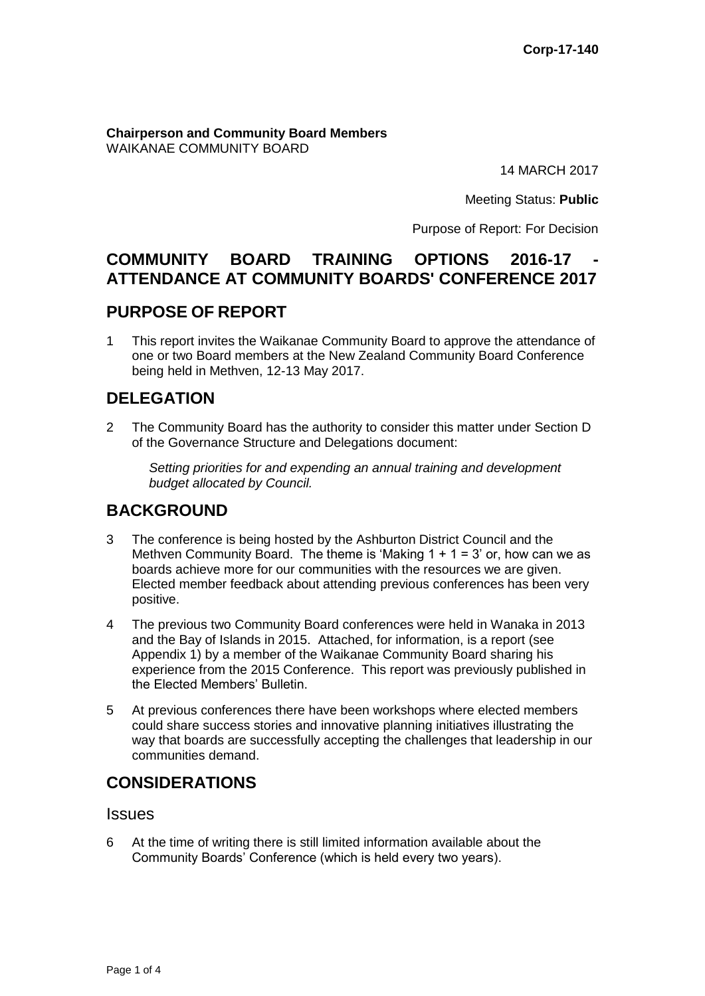#### **Chairperson and Community Board Members** WAIKANAE COMMUNITY BOARD

14 MARCH 2017

Meeting Status: **Public**

Purpose of Report: For Decision

# **COMMUNITY BOARD TRAINING OPTIONS 2016-17 ATTENDANCE AT COMMUNITY BOARDS' CONFERENCE 2017**

## **PURPOSE OF REPORT**

1 This report invites the Waikanae Community Board to approve the attendance of one or two Board members at the New Zealand Community Board Conference being held in Methven, 12-13 May 2017.

## **DELEGATION**

2 The Community Board has the authority to consider this matter under Section D of the Governance Structure and Delegations document:

*Setting priorities for and expending an annual training and development budget allocated by Council.*

## **BACKGROUND**

- 3 The conference is being hosted by the Ashburton District Council and the Methven Community Board. The theme is 'Making  $1 + 1 = 3$ ' or, how can we as boards achieve more for our communities with the resources we are given. Elected member feedback about attending previous conferences has been very positive.
- 4 The previous two Community Board conferences were held in Wanaka in 2013 and the Bay of Islands in 2015. Attached, for information, is a report (see Appendix 1) by a member of the Waikanae Community Board sharing his experience from the 2015 Conference. This report was previously published in the Elected Members' Bulletin.
- 5 At previous conferences there have been workshops where elected members could share success stories and innovative planning initiatives illustrating the way that boards are successfully accepting the challenges that leadership in our communities demand.

# **CONSIDERATIONS**

### **Issues**

6 At the time of writing there is still limited information available about the Community Boards' Conference (which is held every two years).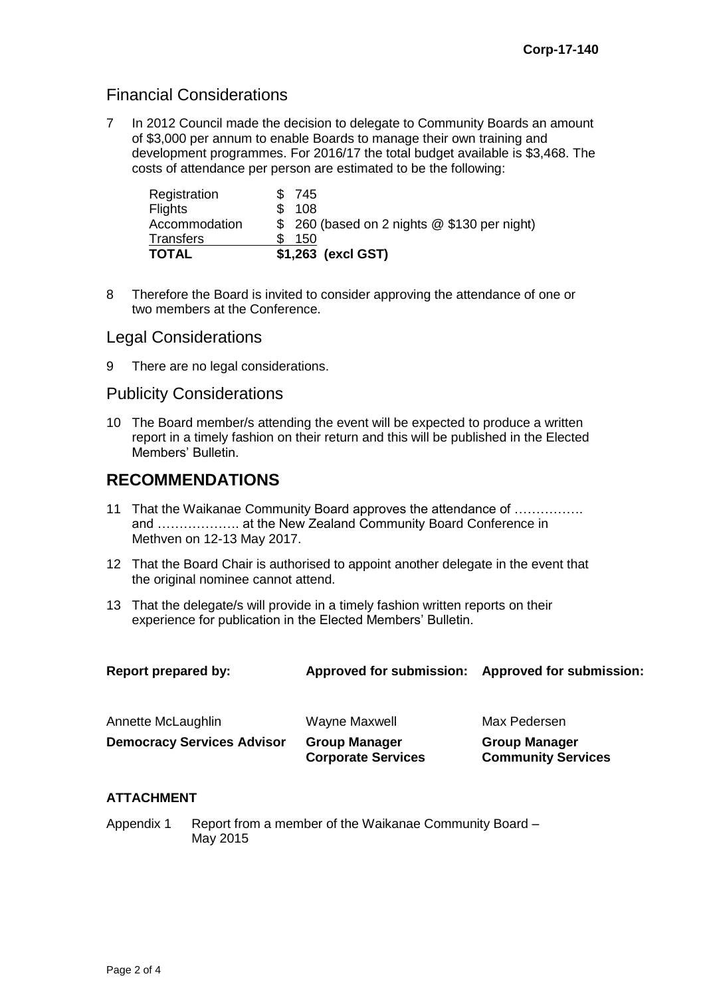## Financial Considerations

7 In 2012 Council made the decision to delegate to Community Boards an amount of \$3,000 per annum to enable Boards to manage their own training and development programmes. For 2016/17 the total budget available is \$3,468. The costs of attendance per person are estimated to be the following:

| Registration     | \$745                                        |
|------------------|----------------------------------------------|
| <b>Flights</b>   | \$108                                        |
| Accommodation    | \$ 260 (based on 2 nights @ \$130 per night) |
| <b>Transfers</b> | 150                                          |
| <b>TOTAL</b>     | \$1,263 (excl GST)                           |

8 Therefore the Board is invited to consider approving the attendance of one or two members at the Conference.

### Legal Considerations

9 There are no legal considerations.

### Publicity Considerations

10 The Board member/s attending the event will be expected to produce a written report in a timely fashion on their return and this will be published in the Elected Members' Bulletin.

### **RECOMMENDATIONS**

- 11 That the Waikanae Community Board approves the attendance of ……………. and ………………. at the New Zealand Community Board Conference in Methven on 12-13 May 2017.
- 12 That the Board Chair is authorised to appoint another delegate in the event that the original nominee cannot attend.
- 13 That the delegate/s will provide in a timely fashion written reports on their experience for publication in the Elected Members' Bulletin.

| Report prepared by:               | <b>Approved for submission:</b>                   | <b>Approved for submission:</b>                   |
|-----------------------------------|---------------------------------------------------|---------------------------------------------------|
| Annette McLaughlin                | Wayne Maxwell                                     | Max Pedersen                                      |
| <b>Democracy Services Advisor</b> | <b>Group Manager</b><br><b>Corporate Services</b> | <b>Group Manager</b><br><b>Community Services</b> |

### **ATTACHMENT**

Appendix 1 Report from a member of the Waikanae Community Board – May 2015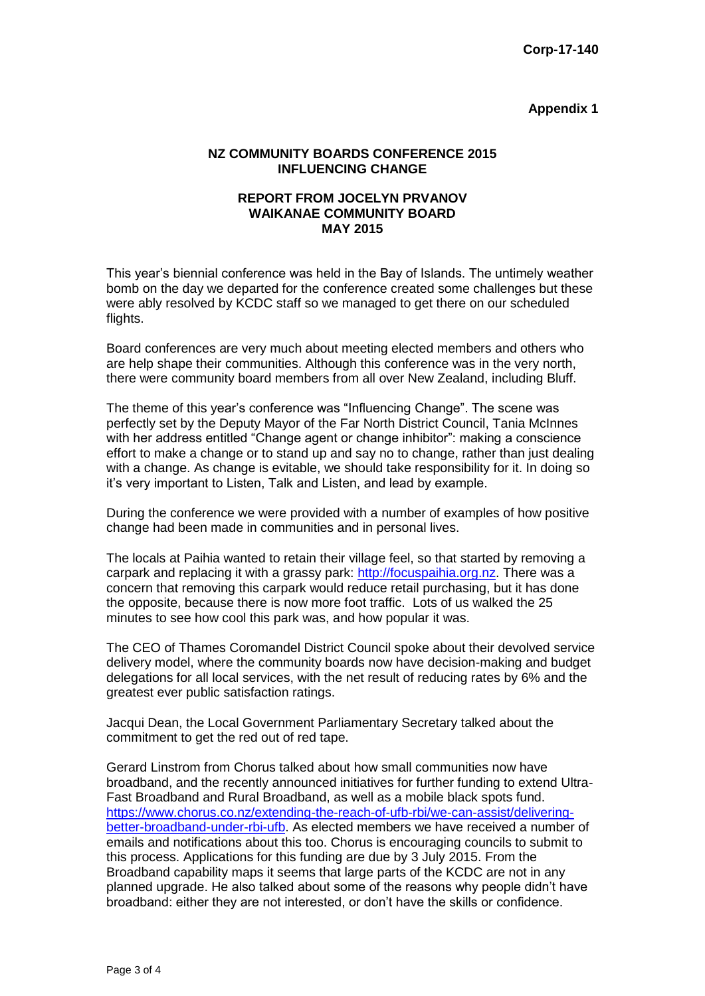#### **Appendix 1**

#### **NZ COMMUNITY BOARDS CONFERENCE 2015 INFLUENCING CHANGE**

#### **REPORT FROM JOCELYN PRVANOV WAIKANAE COMMUNITY BOARD MAY 2015**

This year's biennial conference was held in the Bay of Islands. The untimely weather bomb on the day we departed for the conference created some challenges but these were ably resolved by KCDC staff so we managed to get there on our scheduled flights.

Board conferences are very much about meeting elected members and others who are help shape their communities. Although this conference was in the very north, there were community board members from all over New Zealand, including Bluff.

The theme of this year's conference was "Influencing Change". The scene was perfectly set by the Deputy Mayor of the Far North District Council, Tania McInnes with her address entitled "Change agent or change inhibitor": making a conscience effort to make a change or to stand up and say no to change, rather than just dealing with a change. As change is evitable, we should take responsibility for it. In doing so it's very important to Listen, Talk and Listen, and lead by example.

During the conference we were provided with a number of examples of how positive change had been made in communities and in personal lives.

The locals at Paihia wanted to retain their village feel, so that started by removing a carpark and replacing it with a grassy park: [http://focuspaihia.org.nz.](http://focuspaihia.org.nz/) There was a concern that removing this carpark would reduce retail purchasing, but it has done the opposite, because there is now more foot traffic. Lots of us walked the 25 minutes to see how cool this park was, and how popular it was.

The CEO of Thames Coromandel District Council spoke about their devolved service delivery model, where the community boards now have decision-making and budget delegations for all local services, with the net result of reducing rates by 6% and the greatest ever public satisfaction ratings.

Jacqui Dean, the Local Government Parliamentary Secretary talked about the commitment to get the red out of red tape.

Gerard Linstrom from Chorus talked about how small communities now have broadband, and the recently announced initiatives for further funding to extend Ultra-Fast Broadband and Rural Broadband, as well as a mobile black spots fund. [https://www.chorus.co.nz/extending-the-reach-of-ufb-rbi/we-can-assist/delivering](https://www.chorus.co.nz/extending-the-reach-of-ufb-rbi/we-can-assist/delivering-better-broadband-under-rbi-ufb)[better-broadband-under-rbi-ufb.](https://www.chorus.co.nz/extending-the-reach-of-ufb-rbi/we-can-assist/delivering-better-broadband-under-rbi-ufb) As elected members we have received a number of emails and notifications about this too. Chorus is encouraging councils to submit to this process. Applications for this funding are due by 3 July 2015. From the Broadband capability maps it seems that large parts of the KCDC are not in any planned upgrade. He also talked about some of the reasons why people didn't have broadband: either they are not interested, or don't have the skills or confidence.